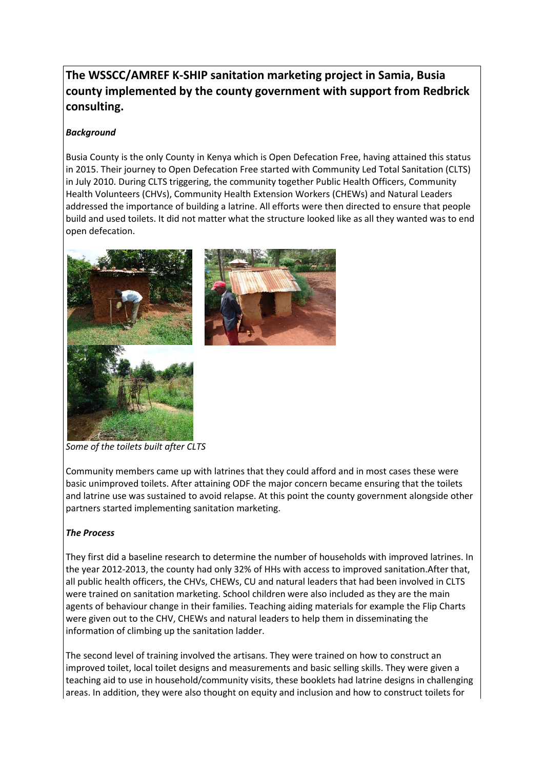# **The WSSCC/AMREF K-SHIP sanitation marketing project in Samia, Busia county implemented by the county government with support from Redbrick consulting.**

# *Background*

Busia County is the only County in Kenya which is Open Defecation Free, having attained this status in 2015. Their journey to Open Defecation Free started with Community Led Total Sanitation (CLTS) in July 2010. During CLTS triggering, the community together Public Health Officers, Community Health Volunteers (CHVs), Community Health Extension Workers (CHEWs) and Natural Leaders addressed the importance of building a latrine. All efforts were then directed to ensure that people build and used toilets. It did not matter what the structure looked like as all they wanted was to end open defecation.





*Some of the toilets built after CLTS*

Community members came up with latrines that they could afford and in most cases these were basic unimproved toilets. After attaining ODF the major concern became ensuring that the toilets and latrine use was sustained to avoid relapse. At this point the county government alongside other partners started implementing sanitation marketing.

### *The Process*

They first did a baseline research to determine the number of households with improved latrines. In the year 2012-2013, the county had only 32% of HHs with access to improved sanitation.After that, all public health officers, the CHVs, CHEWs, CU and natural leaders that had been involved in CLTS were trained on sanitation marketing. School children were also included as they are the main agents of behaviour change in their families. Teaching aiding materials for example the Flip Charts were given out to the CHV, CHEWs and natural leaders to help them in disseminating the information of climbing up the sanitation ladder.

The second level of training involved the artisans. They were trained on how to construct an improved toilet, local toilet designs and measurements and basic selling skills. They were given a teaching aid to use in household/community visits, these booklets had latrine designs in challenging areas. In addition, they were also thought on equity and inclusion and how to construct toilets for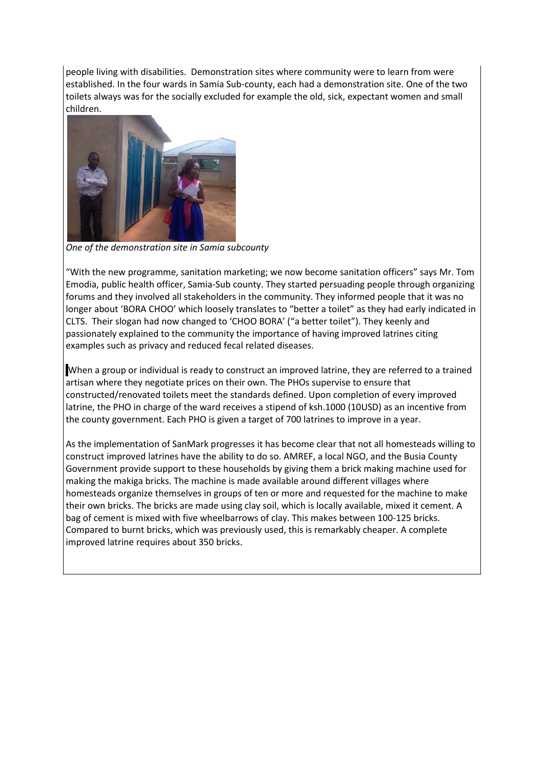people living with disabilities. Demonstration sites where community were to learn from were established. In the four wards in Samia Sub-county, each had a demonstration site. One of the two toilets always was for the socially excluded for example the old, sick, expectant women and small children.



*One of the demonstration site in Samia subcounty*

"With the new programme, sanitation marketing; we now become sanitation officers" says Mr. Tom Emodia, public health officer, Samia-Sub county. They started persuading people through organizing forums and they involved all stakeholders in the community. They informed people that it was no longer about 'BORA CHOO' which loosely translates to "better a toilet" as they had early indicated in CLTS. Their slogan had now changed to 'CHOO BORA' ("a better toilet"). They keenly and passionately explained to the community the importance of having improved latrines citing examples such as privacy and reduced fecal related diseases.

When a group or individual is ready to construct an improved latrine, they are referred to a trained artisan where they negotiate prices on their own. The PHOs supervise to ensure that constructed/renovated toilets meet the standards defined. Upon completion of every improved latrine, the PHO in charge of the ward receives a stipend of ksh.1000 (10USD) as an incentive from the county government. Each PHO is given a target of 700 latrines to improve in a year.

As the implementation of SanMark progresses it has become clear that not all homesteads willing to construct improved latrines have the ability to do so. AMREF, a local NGO, and the Busia County Government provide support to these households by giving them a brick making machine used for making the makiga bricks. The machine is made available around different villages where homesteads organize themselves in groups of ten or more and requested for the machine to make their own bricks. The bricks are made using clay soil, which is locally available, mixed it cement. A bag of cement is mixed with five wheelbarrows of clay. This makes between 100-125 bricks. Compared to burnt bricks, which was previously used, this is remarkably cheaper. A complete improved latrine requires about 350 bricks.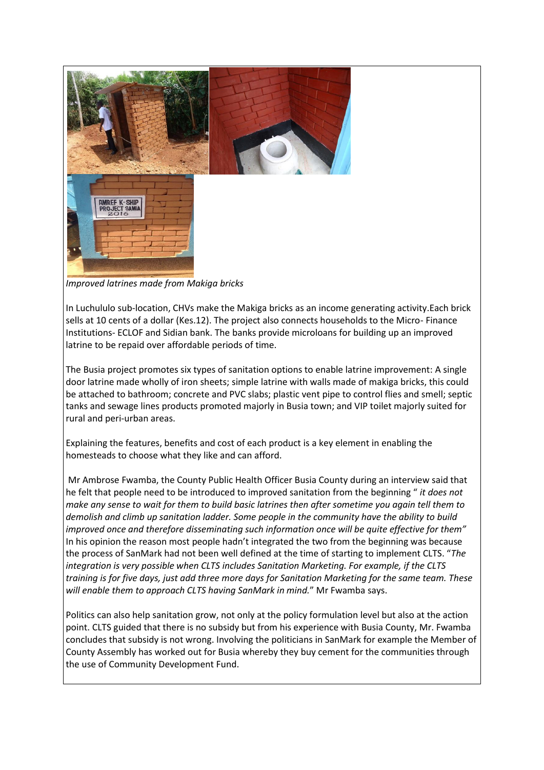

*Improved latrines made from Makiga bricks*

In Luchululo sub-location, CHVs make the Makiga bricks as an income generating activity.Each brick sells at 10 cents of a dollar (Kes.12). The project also connects households to the Micro- Finance Institutions- ECLOF and Sidian bank. The banks provide microloans for building up an improved latrine to be repaid over affordable periods of time.

The Busia project promotes six types of sanitation options to enable latrine improvement: A single door latrine made wholly of iron sheets; simple latrine with walls made of makiga bricks, this could be attached to bathroom; concrete and PVC slabs; plastic vent pipe to control flies and smell; septic tanks and sewage lines products promoted majorly in Busia town; and VIP toilet majorly suited for rural and peri-urban areas.

Explaining the features, benefits and cost of each product is a key element in enabling the homesteads to choose what they like and can afford.

Mr Ambrose Fwamba, the County Public Health Officer Busia County during an interview said that he felt that people need to be introduced to improved sanitation from the beginning " *it does not make any sense to wait for them to build basic latrines then after sometime you again tell them to demolish and climb up sanitation ladder. Some people in the community have the ability to build improved once and therefore disseminating such information once will be quite effective for them"*  In his opinion the reason most people hadn't integrated the two from the beginning was because the process of SanMark had not been well defined at the time of starting to implement CLTS. "*The integration is very possible when CLTS includes Sanitation Marketing. For example, if the CLTS training is for five days, just add three more days for Sanitation Marketing for the same team. These will enable them to approach CLTS having SanMark in mind.*" Mr Fwamba says.

Politics can also help sanitation grow, not only at the policy formulation level but also at the action point. CLTS guided that there is no subsidy but from his experience with Busia County, Mr. Fwamba concludes that subsidy is not wrong. Involving the politicians in SanMark for example the Member of County Assembly has worked out for Busia whereby they buy cement for the communities through the use of Community Development Fund.